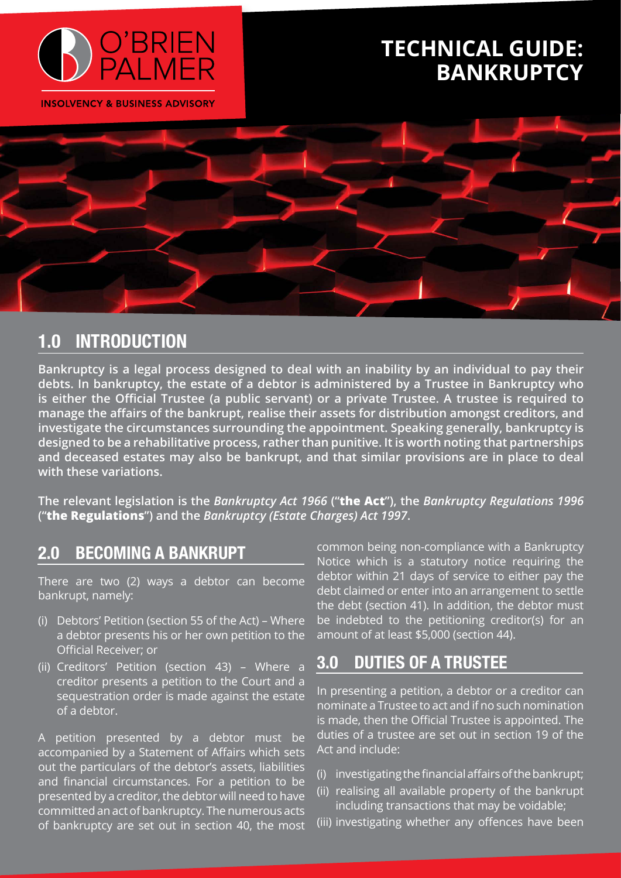

**INSOLVENCY & BUSINESS ADVISORY** 

# **TECHNICAL GUIDE: BANKRUPTCY**



## **1.0 INTRODUCTION**

**Bankruptcy is a legal process designed to deal with an inability by an individual to pay their debts. In bankruptcy, the estate of a debtor is administered by a Trustee in Bankruptcy who is either the Official Trustee (a public servant) or a private Trustee. A trustee is required to manage the affairs of the bankrupt, realise their assets for distribution amongst creditors, and investigate the circumstances surrounding the appointment. Speaking generally, bankruptcy is designed to be a rehabilitative process, rather than punitive. It is worth noting that partnerships and deceased estates may also be bankrupt, and that similar provisions are in place to deal with these variations.**

**The relevant legislation is the** *Bankruptcy Act 1966* **("the Act"), the** *Bankruptcy Regulations 1996* **("the Regulations") and the** *Bankruptcy (Estate Charges) Act 1997***.** 

### **2.0 BECOMING A BANKRUPT**

There are two (2) ways a debtor can become bankrupt, namely:

- (i) Debtors' Petition (section 55 of the Act) Where a debtor presents his or her own petition to the Official Receiver; or
- (ii) Creditors' Petition (section 43) Where a creditor presents a petition to the Court and a sequestration order is made against the estate of a debtor.

A petition presented by a debtor must be accompanied by a Statement of Affairs which sets out the particulars of the debtor's assets, liabilities and financial circumstances. For a petition to be presented by a creditor, the debtor will need to have committed an act of bankruptcy. The numerous acts of bankruptcy are set out in section 40, the most common being non-compliance with a Bankruptcy Notice which is a statutory notice requiring the debtor within 21 days of service to either pay the debt claimed or enter into an arrangement to settle the debt (section 41). In addition, the debtor must be indebted to the petitioning creditor(s) for an amount of at least \$5,000 (section 44).

## **3.0 DUTIES OF A TRUSTEE**

In presenting a petition, a debtor or a creditor can nominate a Trustee to act and if no such nomination is made, then the Official Trustee is appointed. The duties of a trustee are set out in section  $19$  of the Act and include:

- (i) investigating the financial affairs of the bankrupt;
- (ii) realising all available property of the bankrupt including transactions that may be voidable;
- (iii) investigating whether any offences have been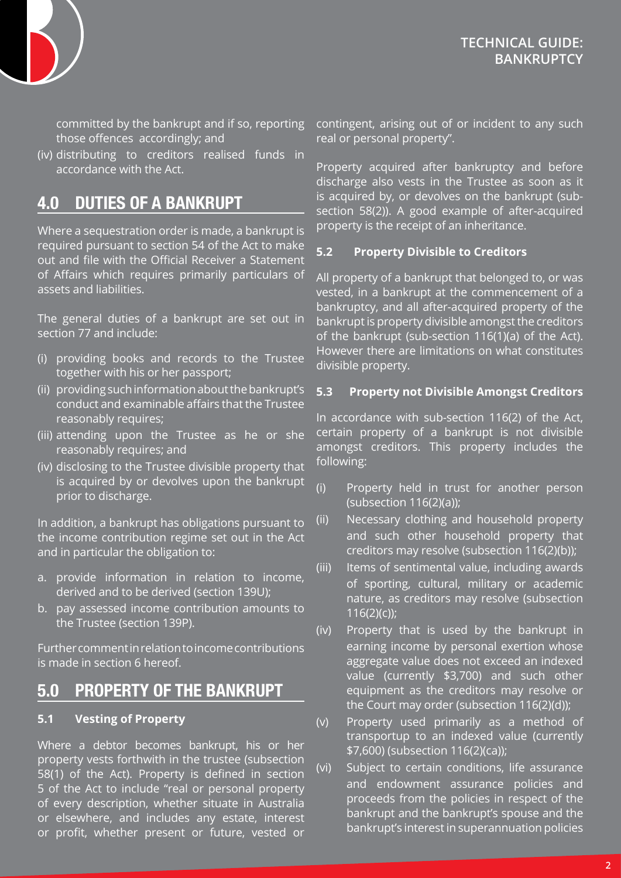

committed by the bankrupt and if so, reporting those offences accordingly; and

(iv) distributing to creditors realised funds in accordance with the Act.

## **4.0 DUTIES OF A BANKRUPT**

Where a sequestration order is made, a bankrupt is required pursuant to section 54 of the Act to make out and file with the Official Receiver a Statement of Affairs which requires primarily particulars of assets and liabilities.

The general duties of a bankrupt are set out in section 77 and include:

- (i) providing books and records to the Trustee together with his or her passport;
- (ii) providing such information about the bankrupt's conduct and examinable affairs that the Trustee reasonably requires;
- (iii) attending upon the Trustee as he or she reasonably requires; and
- (iv) disclosing to the Trustee divisible property that is acquired by or devolves upon the bankrupt prior to discharge.

In addition, a bankrupt has obligations pursuant to the income contribution regime set out in the Act and in particular the obligation to:

- a. provide information in relation to income, derived and to be derived (section 139U);
- b. pay assessed income contribution amounts to the Trustee (section 139P).

Further comment in relation to income contributions is made in section 6 hereof.

### **5.0 PROPERTY OF THE BANKRUPT**

#### **5.1 Vesting of Property**

Where a debtor becomes bankrupt, his or her property vests forthwith in the trustee (subsection 58(1) of the Act). Property is defined in section 5 of the Act to include "real or personal property of every description, whether situate in Australia or elsewhere, and includes any estate, interest or profit, whether present or future, vested or

contingent, arising out of or incident to any such real or personal property".

Property acquired after bankruptcy and before discharge also vests in the Trustee as soon as it is acquired by, or devolves on the bankrupt (subsection 58(2)). A good example of after-acquired property is the receipt of an inheritance.

#### **5.2 Property Divisible to Creditors**

All property of a bankrupt that belonged to, or was vested, in a bankrupt at the commencement of a bankruptcy, and all after-acquired property of the bankrupt is property divisible amongst the creditors of the bankrupt (sub-section 116(1)(a) of the Act). However there are limitations on what constitutes divisible property.

#### **5.3 Property not Divisible Amongst Creditors**

In accordance with sub-section 116(2) of the Act, certain property of a bankrupt is not divisible amongst creditors. This property includes the following:

- (i) Property held in trust for another person (subsection 116(2)(a));
- (ii) Necessary clothing and household property and such other household property that creditors may resolve (subsection 116(2)(b));
- (iii) Items of sentimental value, including awards of sporting, cultural, military or academic nature, as creditors may resolve (subsection 116(2)(c));
- (iv) Property that is used by the bankrupt in earning income by personal exertion whose aggregate value does not exceed an indexed value (currently \$3,700) and such other equipment as the creditors may resolve or the Court may order (subsection 116(2)(d));
- (v) Property used primarily as a method of transportup to an indexed value (currently \$7,600) (subsection 116(2)(ca));
- (vi) Subject to certain conditions, life assurance and endowment assurance policies and proceeds from the policies in respect of the bankrupt and the bankrupt's spouse and the bankrupt's interest in superannuation policies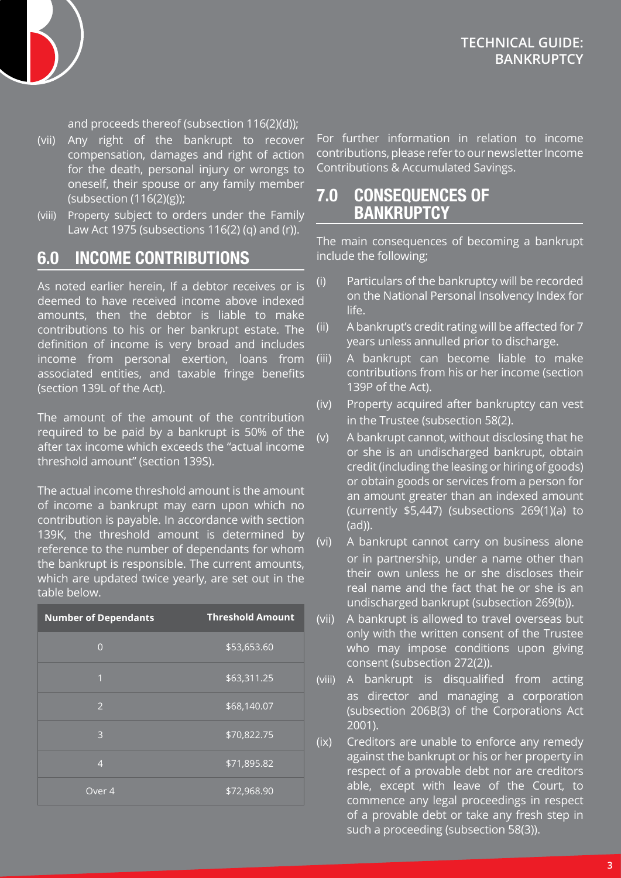

and proceeds thereof (subsection 116(2)(d));

- (vii) Any right of the bankrupt to recover compensation, damages and right of action for the death, personal injury or wrongs to oneself, their spouse or any family member (subsection (116(2)(g));
- (viii) Property subject to orders under the Family Law Act 1975 (subsections 116(2) (q) and (r)).

### **6.0 INCOME CONTRIBUTIONS**

As noted earlier herein, If a debtor receives or is deemed to have received income above indexed amounts, then the debtor is liable to make contributions to his or her bankrupt estate. The definition of income is very broad and includes income from personal exertion, loans from associated entities, and taxable fringe benefits (section 139L of the Act).

The amount of the amount of the contribution required to be paid by a bankrupt is 50% of the after tax income which exceeds the "actual income threshold amount" (section 139S).

The actual income threshold amount is the amount of income a bankrupt may earn upon which no contribution is payable. In accordance with section 139K, the threshold amount is determined by reference to the number of dependants for whom the bankrupt is responsible. The current amounts, which are updated twice yearly, are set out in the table below.

| <b>Number of Dependants</b> | <b>Threshold Amount</b> |
|-----------------------------|-------------------------|
| $\overline{0}$              | \$53,653.60             |
| $\mathbf{1}$                | \$63,311.25             |
| 2                           | \$68,140.07             |
| 3                           | \$70,822.75             |
| $\overline{4}$              | \$71,895.82             |
| Over 4                      | \$72,968.90             |

For further information in relation to income contributions, please refer to our newsletter Income Contributions & Accumulated Savings.

### **7.0 CONSEQUENCES OF BANKRUPTCY**

The main consequences of becoming a bankrupt include the following;

- (i) Particulars of the bankruptcy will be recorded on the National Personal Insolvency Index for life.
- (ii) A bankrupt's credit rating will be affected for 7 years unless annulled prior to discharge.
- (iii) A bankrupt can become liable to make contributions from his or her income (section 139P of the Act).
- (iv) Property acquired after bankruptcy can vest in the Trustee (subsection 58(2).
- (v) A bankrupt cannot, without disclosing that he or she is an undischarged bankrupt, obtain credit (including the leasing or hiring of goods) or obtain goods or services from a person for an amount greater than an indexed amount (currently \$5,447) (subsections 269(1)(a) to (ad)).
- (vi) A bankrupt cannot carry on business alone or in partnership, under a name other than their own unless he or she discloses their real name and the fact that he or she is an undischarged bankrupt (subsection 269(b)).
- (vii) A bankrupt is allowed to travel overseas but only with the written consent of the Trustee who may impose conditions upon giving consent (subsection 272(2)).
- (viii) A bankrupt is disqualified from acting as director and managing a corporation (subsection 206B(3) of the Corporations Act 2001).
- (ix) Creditors are unable to enforce any remedy against the bankrupt or his or her property in respect of a provable debt nor are creditors able, except with leave of the Court, to commence any legal proceedings in respect of a provable debt or take any fresh step in such a proceeding (subsection 58(3)).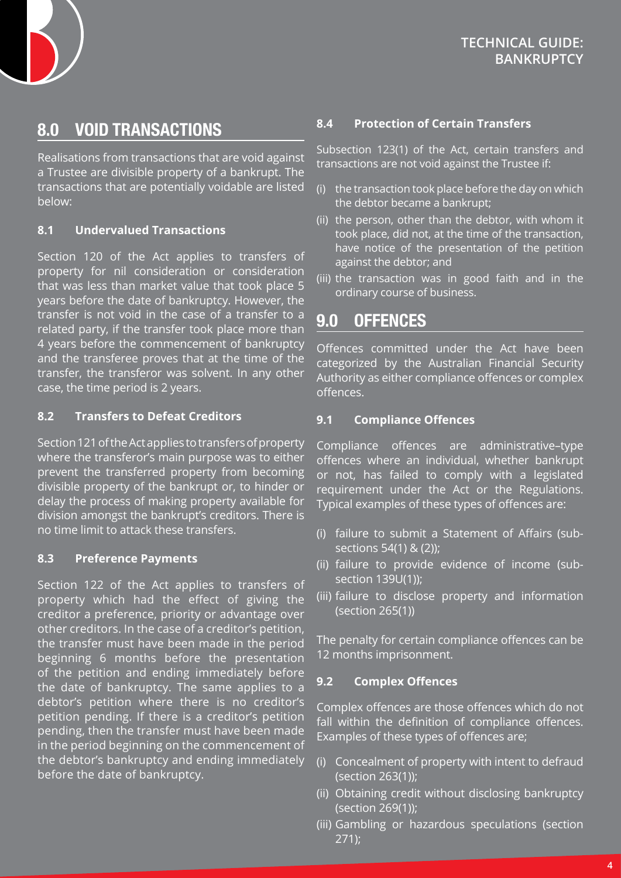

### **8.0 VOID TRANSACTIONS**

Realisations from transactions that are void against a Trustee are divisible property of a bankrupt. The transactions that are potentially voidable are listed below:

#### **8.1 Undervalued Transactions**

Section 120 of the Act applies to transfers of property for nil consideration or consideration that was less than market value that took place 5 years before the date of bankruptcy. However, the transfer is not void in the case of a transfer to a related party, if the transfer took place more than 4 years before the commencement of bankruptcy and the transferee proves that at the time of the transfer, the transferor was solvent. In any other case, the time period is 2 years.

#### **8.2 Transfers to Defeat Creditors**

Section 121 of the Act applies to transfers of property where the transferor's main purpose was to either prevent the transferred property from becoming divisible property of the bankrupt or, to hinder or delay the process of making property available for division amongst the bankrupt's creditors. There is no time limit to attack these transfers.

#### **8.3 Preference Payments**

Section 122 of the Act applies to transfers of property which had the effect of giving the creditor a preference, priority or advantage over other creditors. In the case of a creditor's petition, the transfer must have been made in the period beginning 6 months before the presentation of the petition and ending immediately before the date of bankruptcy. The same applies to a debtor's petition where there is no creditor's petition pending. If there is a creditor's petition pending, then the transfer must have been made in the period beginning on the commencement of the debtor's bankruptcy and ending immediately before the date of bankruptcy.

#### **8.4 Protection of Certain Transfers**

Subsection 123(1) of the Act, certain transfers and transactions are not void against the Trustee if:

- (i) the transaction took place before the day on which the debtor became a bankrupt;
- (ii) the person, other than the debtor, with whom it took place, did not, at the time of the transaction, have notice of the presentation of the petition against the debtor; and
- (iii) the transaction was in good faith and in the ordinary course of business.

### **9.0 OFFENCES**

Offences committed under the Act have been categorized by the Australian Financial Security Authority as either compliance offences or complex offences.

#### **9.1 Compliance Offences**

Compliance offences are administrative–type offences where an individual, whether bankrupt or not, has failed to comply with a legislated requirement under the Act or the Regulations. Typical examples of these types of offences are:

- (i) failure to submit a Statement of Affairs (subsections 54(1) & (2));
- (ii) failure to provide evidence of income (subsection 139U(1));
- (iii) failure to disclose property and information (section 265(1))

The penalty for certain compliance offences can be 12 months imprisonment.

#### **9.2 Complex Offences**

Complex offences are those offences which do not fall within the definition of compliance offences. Examples of these types of offences are;

- (i) Concealment of property with intent to defraud (section 263(1));
- (ii) Obtaining credit without disclosing bankruptcy (section 269(1));
- (iii) Gambling or hazardous speculations (section 271);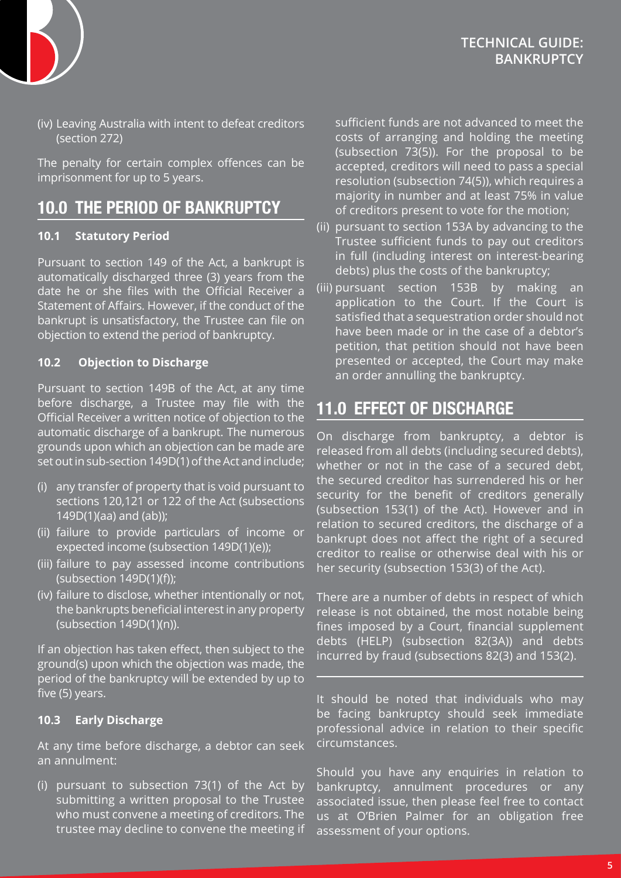

### **TECHNICAL GUIDE: BANKRUPTCY**

(iv) Leaving Australia with intent to defeat creditors (section 272)

The penalty for certain complex offences can be imprisonment for up to 5 years.

### **10.0 THE PERIOD OF BANKRUPTCY**

#### **10.1 Statutory Period**

Pursuant to section 149 of the Act, a bankrupt is automatically discharged three (3) years from the date he or she files with the Official Receiver a Statement of Affairs. However, if the conduct of the bankrupt is unsatisfactory, the Trustee can file on objection to extend the period of bankruptcy.

#### **10.2 Objection to Discharge**

Pursuant to section 149B of the Act, at any time before discharge, a Trustee may file with the Official Receiver a written notice of objection to the automatic discharge of a bankrupt. The numerous grounds upon which an objection can be made are set out in sub-section 149D(1) of the Act and include;

- (i) any transfer of property that is void pursuant to sections 120,121 or 122 of the Act (subsections 149D(1)(aa) and (ab));
- (ii) failure to provide particulars of income or expected income (subsection 149D(1)(e));
- (iii) failure to pay assessed income contributions (subsection 149D(1)(f));
- (iv) failure to disclose, whether intentionally or not, the bankrupts beneficial interest in any property (subsection 149D(1)(n)).

If an objection has taken effect, then subject to the ground(s) upon which the objection was made, the period of the bankruptcy will be extended by up to five (5) years.

#### **10.3 Early Discharge**

At any time before discharge, a debtor can seek an annulment:

(i) pursuant to subsection 73(1) of the Act by submitting a written proposal to the Trustee who must convene a meeting of creditors. The trustee may decline to convene the meeting if sufficient funds are not advanced to meet the costs of arranging and holding the meeting (subsection 73(5)). For the proposal to be accepted, creditors will need to pass a special resolution (subsection 74(5)), which requires a majority in number and at least 75% in value of creditors present to vote for the motion;

- (ii) pursuant to section 153A by advancing to the Trustee sufficient funds to pay out creditors in full (including interest on interest-bearing debts) plus the costs of the bankruptcy;
- (iii) pursuant section 153B by making an application to the Court. If the Court is satisfied that a sequestration order should not have been made or in the case of a debtor's petition, that petition should not have been presented or accepted, the Court may make an order annulling the bankruptcy.

## **11.0 EFFECT OF DISCHARGE**

On discharge from bankruptcy, a debtor is released from all debts (including secured debts), whether or not in the case of a secured debt, the secured creditor has surrendered his or her security for the benefit of creditors generally (subsection 153(1) of the Act). However and in relation to secured creditors, the discharge of a bankrupt does not affect the right of a secured creditor to realise or otherwise deal with his or her security (subsection 153(3) of the Act).

There are a number of debts in respect of which release is not obtained, the most notable being fines imposed by a Court, financial supplement debts (HELP) (subsection 82(3A)) and debts incurred by fraud (subsections 82(3) and 153(2).

It should be noted that individuals who may be facing bankruptcy should seek immediate professional advice in relation to their specific circumstances.

Should you have any enquiries in relation to bankruptcy, annulment procedures or any associated issue, then please feel free to contact us at O'Brien Palmer for an obligation free assessment of your options.